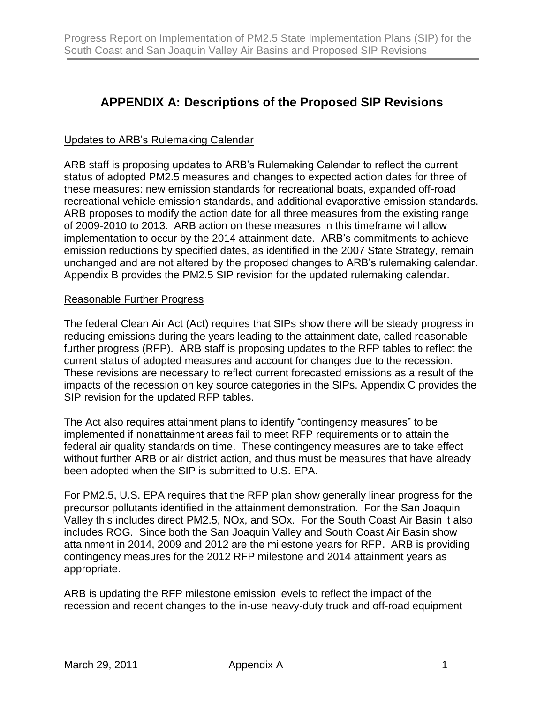# **APPENDIX A: Descriptions of the Proposed SIP Revisions**

## Updates to ARB's Rulemaking Calendar

ARB staff is proposing updates to ARB's Rulemaking Calendar to reflect the current status of adopted PM2.5 measures and changes to expected action dates for three of these measures: new emission standards for recreational boats, expanded off-road recreational vehicle emission standards, and additional evaporative emission standards. ARB proposes to modify the action date for all three measures from the existing range of 2009-2010 to 2013. ARB action on these measures in this timeframe will allow implementation to occur by the 2014 attainment date. ARB's commitments to achieve emission reductions by specified dates, as identified in the 2007 State Strategy, remain unchanged and are not altered by the proposed changes to ARB's rulemaking calendar. Appendix B provides the PM2.5 SIP revision for the updated rulemaking calendar.

### Reasonable Further Progress

The federal Clean Air Act (Act) requires that SIPs show there will be steady progress in reducing emissions during the years leading to the attainment date, called reasonable further progress (RFP). ARB staff is proposing updates to the RFP tables to reflect the current status of adopted measures and account for changes due to the recession. These revisions are necessary to reflect current forecasted emissions as a result of the impacts of the recession on key source categories in the SIPs. Appendix C provides the SIP revision for the updated RFP tables.

The Act also requires attainment plans to identify "contingency measures" to be implemented if nonattainment areas fail to meet RFP requirements or to attain the federal air quality standards on time. These contingency measures are to take effect without further ARB or air district action, and thus must be measures that have already been adopted when the SIP is submitted to U.S. EPA.

For PM2.5, U.S. EPA requires that the RFP plan show generally linear progress for the precursor pollutants identified in the attainment demonstration. For the San Joaquin Valley this includes direct PM2.5, NOx, and SOx. For the South Coast Air Basin it also includes ROG. Since both the San Joaquin Valley and South Coast Air Basin show attainment in 2014, 2009 and 2012 are the milestone years for RFP. ARB is providing contingency measures for the 2012 RFP milestone and 2014 attainment years as appropriate.

ARB is updating the RFP milestone emission levels to reflect the impact of the recession and recent changes to the in-use heavy-duty truck and off-road equipment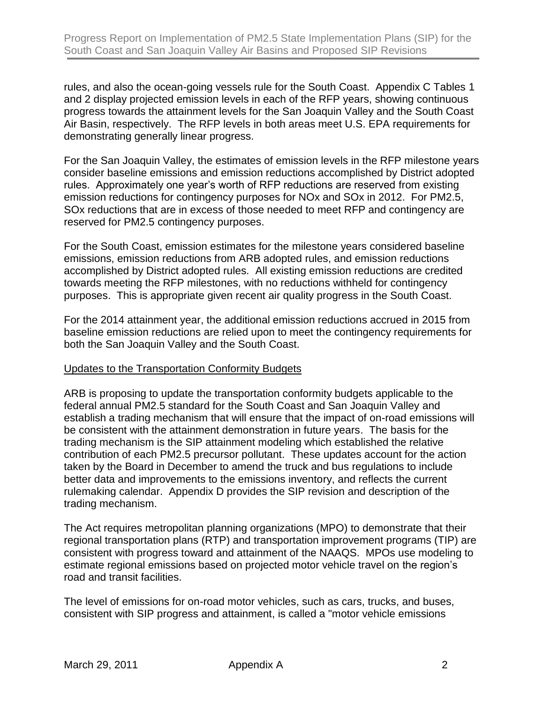rules, and also the ocean-going vessels rule for the South Coast. Appendix C Tables 1 and 2 display projected emission levels in each of the RFP years, showing continuous progress towards the attainment levels for the San Joaquin Valley and the South Coast Air Basin, respectively. The RFP levels in both areas meet U.S. EPA requirements for demonstrating generally linear progress.

For the San Joaquin Valley, the estimates of emission levels in the RFP milestone years consider baseline emissions and emission reductions accomplished by District adopted rules. Approximately one year's worth of RFP reductions are reserved from existing emission reductions for contingency purposes for NOx and SOx in 2012. For PM2.5, SOx reductions that are in excess of those needed to meet RFP and contingency are reserved for PM2.5 contingency purposes.

For the South Coast, emission estimates for the milestone years considered baseline emissions, emission reductions from ARB adopted rules, and emission reductions accomplished by District adopted rules. All existing emission reductions are credited towards meeting the RFP milestones, with no reductions withheld for contingency purposes. This is appropriate given recent air quality progress in the South Coast.

For the 2014 attainment year, the additional emission reductions accrued in 2015 from baseline emission reductions are relied upon to meet the contingency requirements for both the San Joaquin Valley and the South Coast.

### Updates to the Transportation Conformity Budgets

ARB is proposing to update the transportation conformity budgets applicable to the federal annual PM2.5 standard for the South Coast and San Joaquin Valley and establish a trading mechanism that will ensure that the impact of on-road emissions will be consistent with the attainment demonstration in future years. The basis for the trading mechanism is the SIP attainment modeling which established the relative contribution of each PM2.5 precursor pollutant. These updates account for the action taken by the Board in December to amend the truck and bus regulations to include better data and improvements to the emissions inventory, and reflects the current rulemaking calendar. Appendix D provides the SIP revision and description of the trading mechanism.

The Act requires metropolitan planning organizations (MPO) to demonstrate that their regional transportation plans (RTP) and transportation improvement programs (TIP) are consistent with progress toward and attainment of the NAAQS. MPOs use modeling to estimate regional emissions based on projected motor vehicle travel on the region's road and transit facilities.

The level of emissions for on-road motor vehicles, such as cars, trucks, and buses, consistent with SIP progress and attainment, is called a "motor vehicle emissions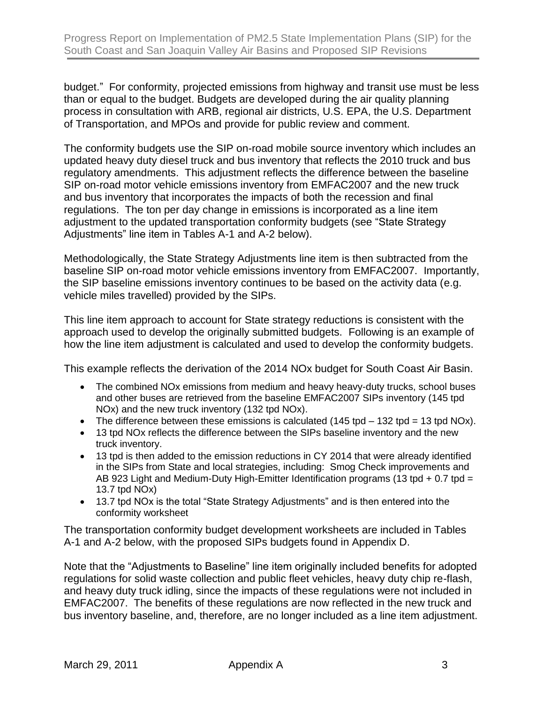budget." For conformity, projected emissions from highway and transit use must be less than or equal to the budget. Budgets are developed during the air quality planning process in consultation with ARB, regional air districts, U.S. EPA, the U.S. Department of Transportation, and MPOs and provide for public review and comment.

The conformity budgets use the SIP on-road mobile source inventory which includes an updated heavy duty diesel truck and bus inventory that reflects the 2010 truck and bus regulatory amendments. This adjustment reflects the difference between the baseline SIP on-road motor vehicle emissions inventory from EMFAC2007 and the new truck and bus inventory that incorporates the impacts of both the recession and final regulations. The ton per day change in emissions is incorporated as a line item adjustment to the updated transportation conformity budgets (see "State Strategy Adjustments" line item in Tables A-1 and A-2 below).

Methodologically, the State Strategy Adjustments line item is then subtracted from the baseline SIP on-road motor vehicle emissions inventory from EMFAC2007. Importantly, the SIP baseline emissions inventory continues to be based on the activity data (e.g. vehicle miles travelled) provided by the SIPs.

This line item approach to account for State strategy reductions is consistent with the approach used to develop the originally submitted budgets. Following is an example of how the line item adjustment is calculated and used to develop the conformity budgets.

This example reflects the derivation of the 2014 NOx budget for South Coast Air Basin.

- The combined NOx emissions from medium and heavy heavy-duty trucks, school buses and other buses are retrieved from the baseline EMFAC2007 SIPs inventory (145 tpd NOx) and the new truck inventory (132 tpd NOx).
- The difference between these emissions is calculated (145 tpd  $-$  132 tpd = 13 tpd NOx).
- 13 tpd NOx reflects the difference between the SIPs baseline inventory and the new truck inventory.
- 13 tpd is then added to the emission reductions in CY 2014 that were already identified in the SIPs from State and local strategies, including: Smog Check improvements and AB 923 Light and Medium-Duty High-Emitter Identification programs (13 tpd + 0.7 tpd = 13.7 tpd NOx)
- 13.7 tpd NOx is the total "State Strategy Adjustments" and is then entered into the conformity worksheet

The transportation conformity budget development worksheets are included in Tables A-1 and A-2 below, with the proposed SIPs budgets found in Appendix D.

Note that the "Adjustments to Baseline" line item originally included benefits for adopted regulations for solid waste collection and public fleet vehicles, heavy duty chip re-flash, and heavy duty truck idling, since the impacts of these regulations were not included in EMFAC2007. The benefits of these regulations are now reflected in the new truck and bus inventory baseline, and, therefore, are no longer included as a line item adjustment.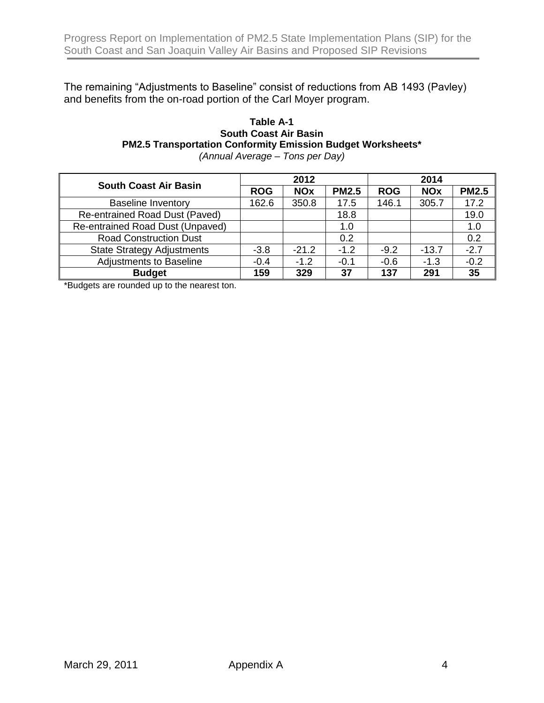The remaining "Adjustments to Baseline" consist of reductions from AB 1493 (Pavley) and benefits from the on-road portion of the Carl Moyer program.

#### **Table A-1 South Coast Air Basin PM2.5 Transportation Conformity Emission Budget Worksheets\***

*(Annual Average – Tons per Day)*

| <b>South Coast Air Basin</b>      | 2012       |            |              | 2014       |            |              |
|-----------------------------------|------------|------------|--------------|------------|------------|--------------|
|                                   | <b>ROG</b> | <b>NOx</b> | <b>PM2.5</b> | <b>ROG</b> | <b>NOx</b> | <b>PM2.5</b> |
| <b>Baseline Inventory</b>         | 162.6      | 350.8      | 17.5         | 146.1      | 305.7      | 17.2         |
| Re-entrained Road Dust (Paved)    |            |            | 18.8         |            |            | 19.0         |
| Re-entrained Road Dust (Unpaved)  |            |            | 1.0          |            |            | 1.0          |
| <b>Road Construction Dust</b>     |            |            | 0.2          |            |            | 0.2          |
| <b>State Strategy Adjustments</b> | $-3.8$     | $-21.2$    | $-1.2$       | $-9.2$     | $-13.7$    | $-2.7$       |
| <b>Adjustments to Baseline</b>    | $-0.4$     | $-1.2$     | $-0.1$       | $-0.6$     | $-1.3$     | $-0.2$       |
| <b>Budget</b>                     | 159        | 329        | 37           | 137        | 291        | 35           |

\*Budgets are rounded up to the nearest ton.